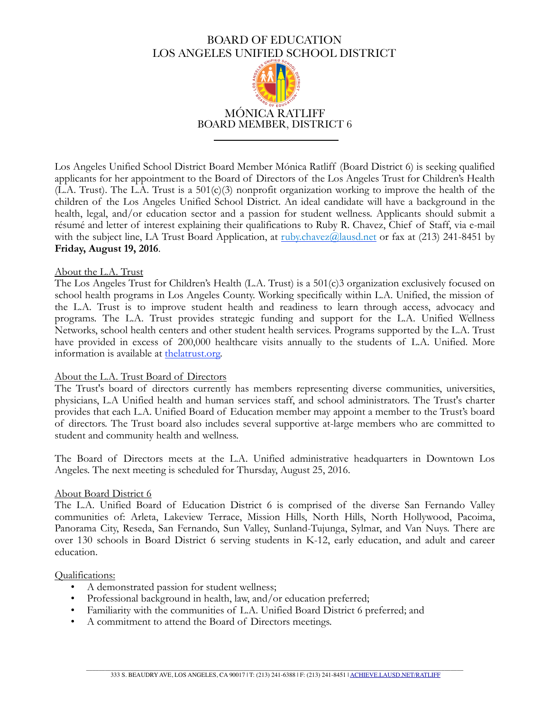# BOARD OF EDUCATION LOS ANGELES UNIFIED SCHOOL DISTRICT



Los Angeles Unified School District Board Member Mónica Ratliff (Board District 6) is seeking qualified applicants for her appointment to the Board of Directors of the Los Angeles Trust for Children's Health (L.A. Trust). The L.A. Trust is a 501(c)(3) nonprofit organization working to improve the health of the children of the Los Angeles Unified School District. An ideal candidate will have a background in the health, legal, and/or education sector and a passion for student wellness. Applicants should submit a résumé and letter of interest explaining their qualifications to Ruby R. Chavez, Chief of Staff, via e-mail with the subject line, LA Trust Board Application, at  $\frac{\text{ruby.chavez@lausd.net}}{\text{mly.chavez@dusd.net}}$  or fax at (213) 241-8451 by **Friday, August 19, 2016**.

#### About the L.A. Trust

The Los Angeles Trust for Children's Health (L.A. Trust) is a 501(c)3 organization exclusively focused on school health programs in Los Angeles County. Working specifically within L.A. Unified, the mission of the L.A. Trust is to improve student health and readiness to learn through access, advocacy and programs. The L.A. Trust provides strategic funding and support for the L.A. Unified Wellness Networks, school health centers and other student health services. Programs supported by the L.A. Trust have provided in excess of 200,000 healthcare visits annually to the students of L.A. Unified. More information is available at the latrust.org.

#### About the L.A. Trust Board of Directors

The Trust's board of directors currently has members representing diverse communities, universities, physicians, L.A Unified health and human services staff, and school administrators. The Trust's charter provides that each L.A. Unified Board of Education member may appoint a member to the Trust's board of directors. The Trust board also includes several supportive at-large members who are committed to student and community health and wellness.

The Board of Directors meets at the L.A. Unified administrative headquarters in Downtown Los Angeles. The next meeting is scheduled for Thursday, August 25, 2016.

#### About Board District 6

The L.A. Unified Board of Education District 6 is comprised of the diverse San Fernando Valley communities of: Arleta, Lakeview Terrace, Mission Hills, North Hills, North Hollywood, Pacoima, Panorama City, Reseda, San Fernando, Sun Valley, Sunland-Tujunga, Sylmar, and Van Nuys. There are over 130 schools in Board District 6 serving students in K-12, early education, and adult and career education.

#### Qualifications:

- A demonstrated passion for student wellness;
- Professional background in health, law, and/or education preferred;
- Familiarity with the communities of L.A. Unified Board District 6 preferred; and
- A commitment to attend the Board of Directors meetings.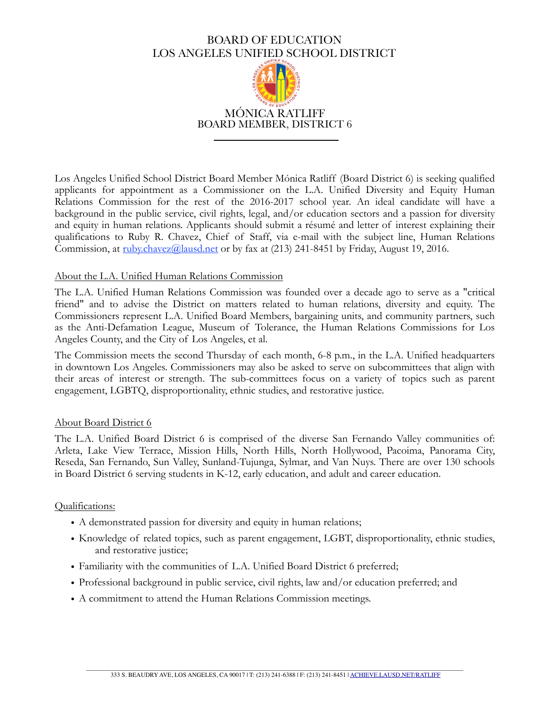# BOARD OF EDUCATION LOS ANGELES UNIFIED SCHOOL DISTRICT



Los Angeles Unified School District Board Member Mónica Ratliff (Board District 6) is seeking qualified applicants for appointment as a Commissioner on the L.A. Unified Diversity and Equity Human Relations Commission for the rest of the 2016-2017 school year. An ideal candidate will have a background in the public service, civil rights, legal, and/or education sectors and a passion for diversity and equity in human relations. Applicants should submit a résumé and letter of interest explaining their qualifications to Ruby R. Chavez, Chief of Staff, via e-mail with the subject line, Human Relations Commission, at [ruby.chavez@lausd.net](mailto:david.zlotchew@lausd.net) or by fax at (213) 241-8451 by Friday, August 19, 2016.

## About the L.A. Unified Human Relations Commission

The L.A. Unified Human Relations Commission was founded over a decade ago to serve as a "critical friend" and to advise the District on matters related to human relations, diversity and equity. The Commissioners represent L.A. Unified Board Members, bargaining units, and community partners, such as the Anti-Defamation League, Museum of Tolerance, the Human Relations Commissions for Los Angeles County, and the City of Los Angeles, et al.

The Commission meets the second Thursday of each month, 6-8 p.m., in the L.A. Unified headquarters in downtown Los Angeles. Commissioners may also be asked to serve on subcommittees that align with their areas of interest or strength. The sub-committees focus on a variety of topics such as parent engagement, LGBTQ, disproportionality, ethnic studies, and restorative justice.

### About Board District 6

The L.A. Unified Board District 6 is comprised of the diverse San Fernando Valley communities of: Arleta, Lake View Terrace, Mission Hills, North Hills, North Hollywood, Pacoima, Panorama City, Reseda, San Fernando, Sun Valley, Sunland-Tujunga, Sylmar, and Van Nuys. There are over 130 schools in Board District 6 serving students in K-12, early education, and adult and career education.

### Qualifications:

- A demonstrated passion for diversity and equity in human relations;
- Knowledge of related topics, such as parent engagement, LGBT, disproportionality, ethnic studies, and restorative justice;
- Familiarity with the communities of L.A. Unified Board District 6 preferred;
- Professional background in public service, civil rights, law and/or education preferred; and
- A commitment to attend the Human Relations Commission meetings.